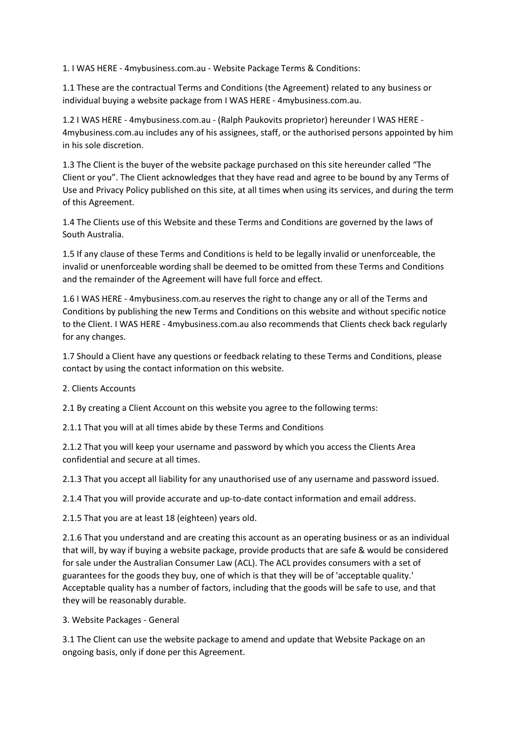1. I WAS HERE - 4mybusiness.com.au - Website Package Terms & Conditions:

1.1 These are the contractual Terms and Conditions (the Agreement) related to any business or individual buying a website package from I WAS HERE - 4mybusiness.com.au.

1.2 I WAS HERE - 4mybusiness.com.au - (Ralph Paukovits proprietor) hereunder I WAS HERE - 4mybusiness.com.au includes any of his assignees, staff, or the authorised persons appointed by him in his sole discretion.

1.3 The Client is the buyer of the website package purchased on this site hereunder called "The Client or you". The Client acknowledges that they have read and agree to be bound by any Terms of Use and Privacy Policy published on this site, at all times when using its services, and during the term of this Agreement.

1.4 The Clients use of this Website and these Terms and Conditions are governed by the laws of South Australia.

1.5 If any clause of these Terms and Conditions is held to be legally invalid or unenforceable, the invalid or unenforceable wording shall be deemed to be omitted from these Terms and Conditions and the remainder of the Agreement will have full force and effect.

1.6 I WAS HERE - 4mybusiness.com.au reserves the right to change any or all of the Terms and Conditions by publishing the new Terms and Conditions on this website and without specific notice to the Client. I WAS HERE - 4mybusiness.com.au also recommends that Clients check back regularly for any changes.

1.7 Should a Client have any questions or feedback relating to these Terms and Conditions, please contact by using the contact information on this website.

2. Clients Accounts

2.1 By creating a Client Account on this website you agree to the following terms:

2.1.1 That you will at all times abide by these Terms and Conditions

2.1.2 That you will keep your username and password by which you access the Clients Area confidential and secure at all times.

2.1.3 That you accept all liability for any unauthorised use of any username and password issued.

2.1.4 That you will provide accurate and up-to-date contact information and email address.

2.1.5 That you are at least 18 (eighteen) years old.

2.1.6 That you understand and are creating this account as an operating business or as an individual that will, by way if buying a website package, provide products that are safe & would be considered for sale under the Australian Consumer Law (ACL). The ACL provides consumers with a set of guarantees for the goods they buy, one of which is that they will be of 'acceptable quality.' Acceptable quality has a number of factors, including that the goods will be safe to use, and that they will be reasonably durable.

3. Website Packages - General

3.1 The Client can use the website package to amend and update that Website Package on an ongoing basis, only if done per this Agreement.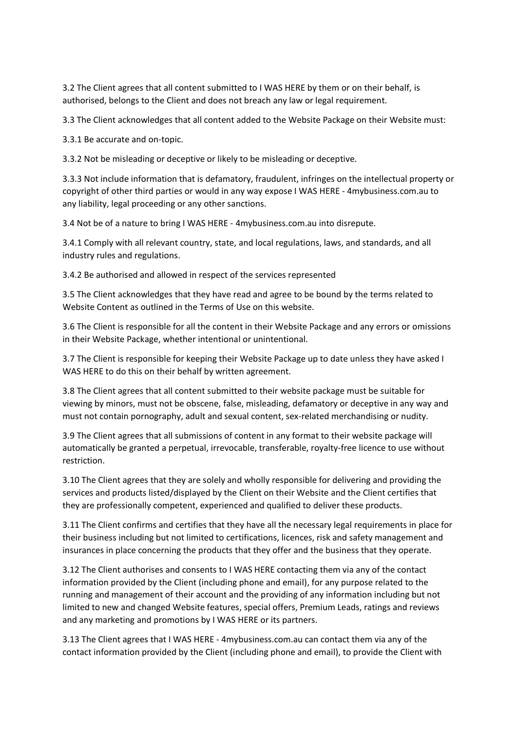3.2 The Client agrees that all content submitted to I WAS HERE by them or on their behalf, is authorised, belongs to the Client and does not breach any law or legal requirement.

3.3 The Client acknowledges that all content added to the Website Package on their Website must:

3.3.1 Be accurate and on-topic.

3.3.2 Not be misleading or deceptive or likely to be misleading or deceptive.

3.3.3 Not include information that is defamatory, fraudulent, infringes on the intellectual property or copyright of other third parties or would in any way expose I WAS HERE - 4mybusiness.com.au to any liability, legal proceeding or any other sanctions.

3.4 Not be of a nature to bring I WAS HERE - 4mybusiness.com.au into disrepute.

3.4.1 Comply with all relevant country, state, and local regulations, laws, and standards, and all industry rules and regulations.

3.4.2 Be authorised and allowed in respect of the services represented

3.5 The Client acknowledges that they have read and agree to be bound by the terms related to Website Content as outlined in the Terms of Use on this website.

3.6 The Client is responsible for all the content in their Website Package and any errors or omissions in their Website Package, whether intentional or unintentional.

3.7 The Client is responsible for keeping their Website Package up to date unless they have asked I WAS HERE to do this on their behalf by written agreement.

3.8 The Client agrees that all content submitted to their website package must be suitable for viewing by minors, must not be obscene, false, misleading, defamatory or deceptive in any way and must not contain pornography, adult and sexual content, sex-related merchandising or nudity.

3.9 The Client agrees that all submissions of content in any format to their website package will automatically be granted a perpetual, irrevocable, transferable, royalty-free licence to use without restriction.

3.10 The Client agrees that they are solely and wholly responsible for delivering and providing the services and products listed/displayed by the Client on their Website and the Client certifies that they are professionally competent, experienced and qualified to deliver these products.

3.11 The Client confirms and certifies that they have all the necessary legal requirements in place for their business including but not limited to certifications, licences, risk and safety management and insurances in place concerning the products that they offer and the business that they operate.

3.12 The Client authorises and consents to I WAS HERE contacting them via any of the contact information provided by the Client (including phone and email), for any purpose related to the running and management of their account and the providing of any information including but not limited to new and changed Website features, special offers, Premium Leads, ratings and reviews and any marketing and promotions by I WAS HERE or its partners.

3.13 The Client agrees that I WAS HERE - 4mybusiness.com.au can contact them via any of the contact information provided by the Client (including phone and email), to provide the Client with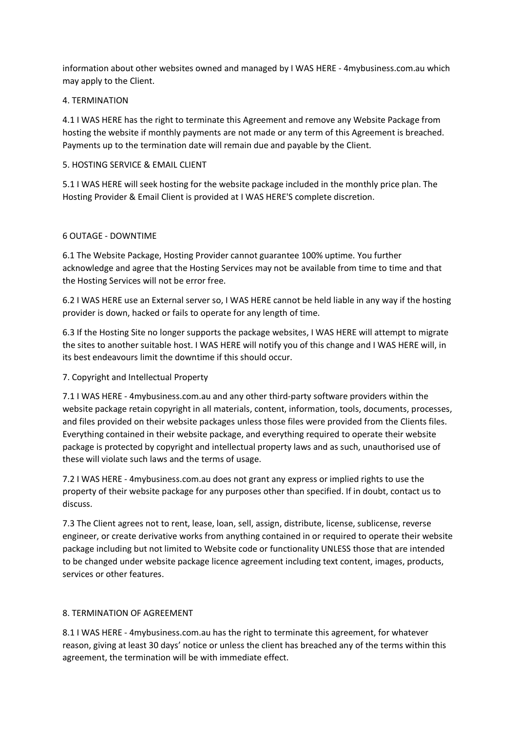information about other websites owned and managed by I WAS HERE - 4mybusiness.com.au which may apply to the Client.

#### 4. TERMINATION

4.1 I WAS HERE has the right to terminate this Agreement and remove any Website Package from hosting the website if monthly payments are not made or any term of this Agreement is breached. Payments up to the termination date will remain due and payable by the Client.

### 5. HOSTING SERVICE & EMAIL CLIENT

5.1 I WAS HERE will seek hosting for the website package included in the monthly price plan. The Hosting Provider & Email Client is provided at I WAS HERE'S complete discretion.

### 6 OUTAGE - DOWNTIME

6.1 The Website Package, Hosting Provider cannot guarantee 100% uptime. You further acknowledge and agree that the Hosting Services may not be available from time to time and that the Hosting Services will not be error free.

6.2 I WAS HERE use an External server so, I WAS HERE cannot be held liable in any way if the hosting provider is down, hacked or fails to operate for any length of time.

6.3 If the Hosting Site no longer supports the package websites, I WAS HERE will attempt to migrate the sites to another suitable host. I WAS HERE will notify you of this change and I WAS HERE will, in its best endeavours limit the downtime if this should occur.

# 7. Copyright and Intellectual Property

7.1 I WAS HERE - 4mybusiness.com.au and any other third-party software providers within the website package retain copyright in all materials, content, information, tools, documents, processes, and files provided on their website packages unless those files were provided from the Clients files. Everything contained in their website package, and everything required to operate their website package is protected by copyright and intellectual property laws and as such, unauthorised use of these will violate such laws and the terms of usage.

7.2 I WAS HERE - 4mybusiness.com.au does not grant any express or implied rights to use the property of their website package for any purposes other than specified. If in doubt, contact us to discuss.

7.3 The Client agrees not to rent, lease, loan, sell, assign, distribute, license, sublicense, reverse engineer, or create derivative works from anything contained in or required to operate their website package including but not limited to Website code or functionality UNLESS those that are intended to be changed under website package licence agreement including text content, images, products, services or other features.

# 8. TERMINATION OF AGREEMENT

8.1 I WAS HERE - 4mybusiness.com.au has the right to terminate this agreement, for whatever reason, giving at least 30 days' notice or unless the client has breached any of the terms within this agreement, the termination will be with immediate effect.